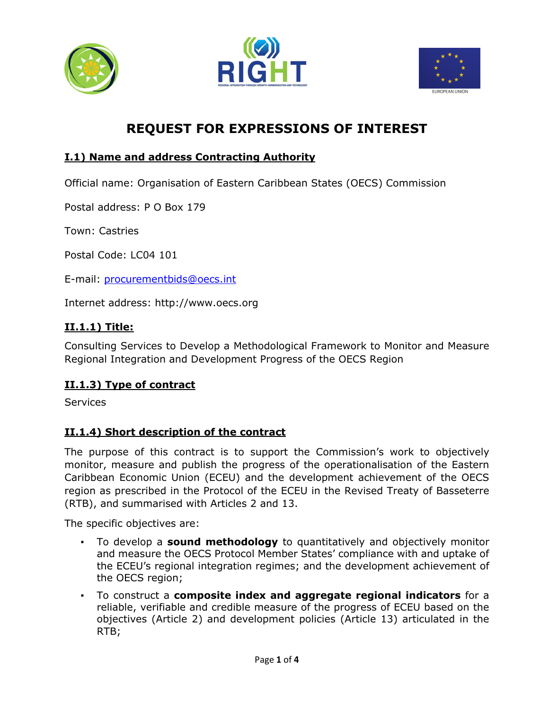





# **REQUEST FOR EXPRESSIONS OF INTEREST**

## **I.1) Name and address Contracting Authority**

Official name: Organisation of Eastern Caribbean States (OECS) Commission

Postal address: P O Box 179

Town: Castries

Postal Code: LC04 101

E-mail: procurementbids@oecs.int

Internet address: http://www.oecs.org

### **II.1.1) Title:**

Consulting Services to Develop a Methodological Framework to Monitor and Measure Regional Integration and Development Progress of the OECS Region

#### **II.1.3) Type of contract**

Services

#### **II.1.4) Short description of the contract**

The purpose of this contract is to support the Commission's work to objectively monitor, measure and publish the progress of the operationalisation of the Eastern Caribbean Economic Union (ECEU) and the development achievement of the OECS region as prescribed in the Protocol of the ECEU in the Revised Treaty of Basseterre (RTB), and summarised with Articles 2 and 13.

The specific objectives are:

- To develop a **sound methodology** to quantitatively and objectively monitor and measure the OECS Protocol Member States' compliance with and uptake of the ECEU's regional integration regimes; and the development achievement of the OECS region;
- To construct a **composite index and aggregate regional indicators** for a reliable, verifiable and credible measure of the progress of ECEU based on the objectives (Article 2) and development policies (Article 13) articulated in the RTB;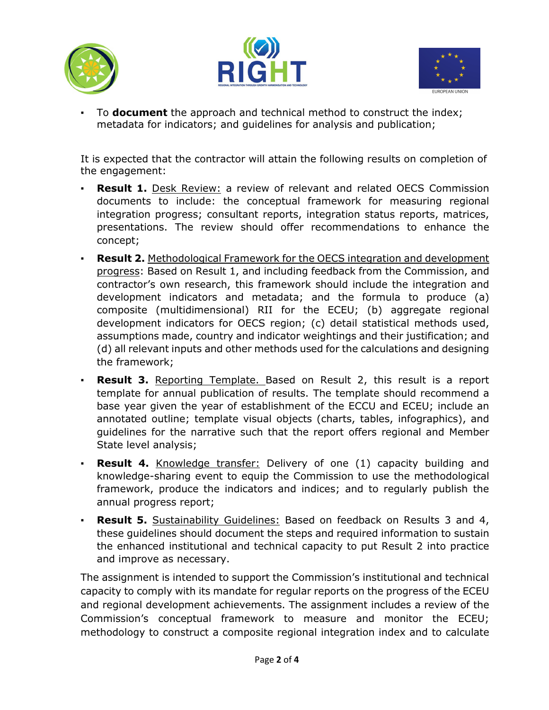





To **document** the approach and technical method to construct the index; metadata for indicators; and guidelines for analysis and publication;

It is expected that the contractor will attain the following results on completion of the engagement:

- **Result 1.** Desk Review: a review of relevant and related OECS Commission documents to include: the conceptual framework for measuring regional integration progress; consultant reports, integration status reports, matrices, presentations. The review should offer recommendations to enhance the concept;
- **Result 2.** Methodological Framework for the OECS integration and development progress: Based on Result 1, and including feedback from the Commission, and contractor's own research, this framework should include the integration and development indicators and metadata; and the formula to produce (a) composite (multidimensional) RII for the ECEU; (b) aggregate regional development indicators for OECS region; (c) detail statistical methods used, assumptions made, country and indicator weightings and their justification; and (d) all relevant inputs and other methods used for the calculations and designing the framework;
- **Result 3.** Reporting Template. Based on Result 2, this result is a report template for annual publication of results. The template should recommend a base year given the year of establishment of the ECCU and ECEU; include an annotated outline; template visual objects (charts, tables, infographics), and guidelines for the narrative such that the report offers regional and Member State level analysis;
- **Result 4.** Knowledge transfer: Delivery of one (1) capacity building and knowledge-sharing event to equip the Commission to use the methodological framework, produce the indicators and indices; and to regularly publish the annual progress report;
- **Result 5.** Sustainability Guidelines: Based on feedback on Results 3 and 4, these guidelines should document the steps and required information to sustain the enhanced institutional and technical capacity to put Result 2 into practice and improve as necessary.

The assignment is intended to support the Commission's institutional and technical capacity to comply with its mandate for regular reports on the progress of the ECEU and regional development achievements. The assignment includes a review of the Commission's conceptual framework to measure and monitor the ECEU; methodology to construct a composite regional integration index and to calculate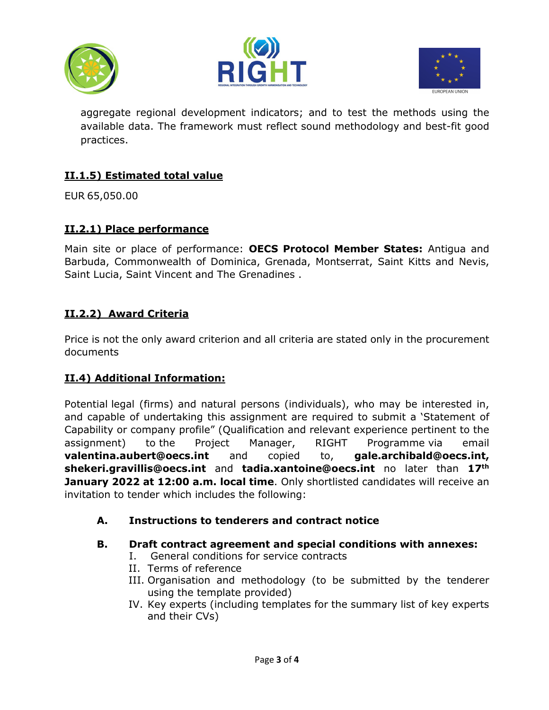





aggregate regional development indicators; and to test the methods using the available data. The framework must reflect sound methodology and best-fit good practices.

## **II.1.5) Estimated total value**

EUR 65,050.00

#### **II.2.1) Place performance**

Main site or place of performance: **OECS Protocol Member States:** Antigua and Barbuda, Commonwealth of Dominica, Grenada, Montserrat, Saint Kitts and Nevis, Saint Lucia, Saint Vincent and The Grenadines .

### **II.2.2) Award Criteria**

Price is not the only award criterion and all criteria are stated only in the procurement documents

#### **II.4) Additional Information:**

Potential legal (firms) and natural persons (individuals), who may be interested in, and capable of undertaking this assignment are required to submit a 'Statement of Capability or company profile" (Qualification and relevant experience pertinent to the assignment) to the Project Manager, RIGHT Programme via email **valentina.aubert@oecs.int** and copied to, **gale.archibald@oecs.int, shekeri.gravillis@oecs.int** and **tadia.xantoine@oecs.int** no later than **17th January 2022 at 12:00 a.m. local time**. Only shortlisted candidates will receive an invitation to tender which includes the following:

#### **A. Instructions to tenderers and contract notice**

#### **B. Draft contract agreement and special conditions with annexes:**

- I. General conditions for service contracts
- II. Terms of reference
- III. Organisation and methodology (to be submitted by the tenderer using the template provided)
- IV. Key experts (including templates for the summary list of key experts and their CVs)